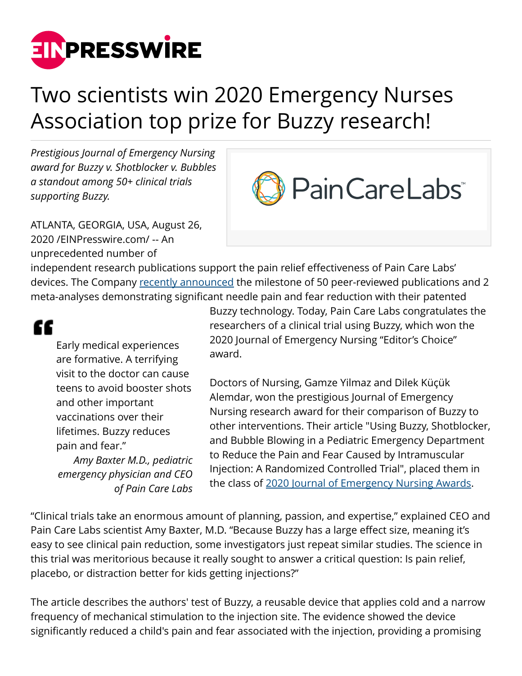

## Two scientists win 2020 Emergency Nurses Association top prize for Buzzy research!

*Prestigious Journal of Emergency Nursing award for Buzzy v. Shotblocker v. Bubbles a standout among 50+ clinical trials supporting Buzzy.*



ATLANTA, GEORGIA, USA, August 26, 2020 /[EINPresswire.com](http://www.einpresswire.com)/ -- An unprecedented number of

independent research publications support the pain relief effectiveness of Pain Care Labs' devices. The Company [recently announced](https://www.einpresswire.com/article/514232243/50-clinical-trials-prove-cold-stimulation-technology-reduces-needle-pain-and-fear) the milestone of 50 peer-reviewed publications and 2 meta-analyses demonstrating significant needle pain and fear reduction with their patented

## "

Early medical experiences are formative. A terrifying visit to the doctor can cause teens to avoid booster shots and other important vaccinations over their lifetimes. Buzzy reduces pain and fear." *Amy Baxter M.D., pediatric*

*emergency physician and CEO of Pain Care Labs*

Buzzy technology. Today, Pain Care Labs congratulates the researchers of a clinical trial using Buzzy, which won the 2020 Journal of Emergency Nursing "Editor's Choice" award.

Doctors of Nursing, Gamze Yilmaz and Dilek Küҫük Alemdar, won the prestigious Journal of Emergency Nursing research award for their comparison of Buzzy to other interventions. Their article "Using Buzzy, Shotblocker, and Bubble Blowing in a Pediatric Emergency Department to Reduce the Pain and Fear Caused by Intramuscular Injection: A Randomized Controlled Trial", placed them in the class of [2020 Journal of Emergency Nursing Awards.](https://www.prnewswire.com/news-releases/five-ena-members-earn-journal-of-emergency-nursing-awards-301105588.html)

"Clinical trials take an enormous amount of planning, passion, and expertise," explained CEO and Pain Care Labs scientist Amy Baxter, M.D. "Because Buzzy has a large effect size, meaning it's easy to see clinical pain reduction, some investigators just repeat similar studies. The science in this trial was meritorious because it really sought to answer a critical question: Is pain relief, placebo, or distraction better for kids getting injections?"

The article describes the authors' test of Buzzy, a reusable device that applies cold and a narrow frequency of mechanical stimulation to the injection site. The evidence showed the device significantly reduced a child's pain and fear associated with the injection, providing a promising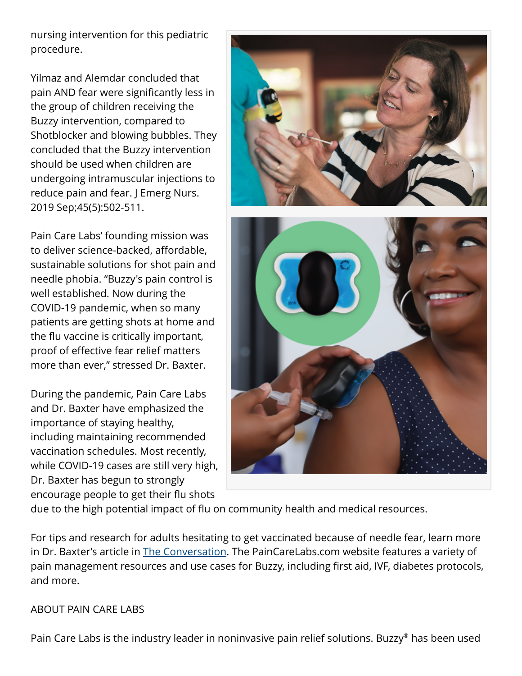nursing intervention for this pediatric procedure.

Yilmaz and Alemdar concluded that pain AND fear were significantly less in the group of children receiving the Buzzy intervention, compared to Shotblocker and blowing bubbles. They concluded that the Buzzy intervention should be used when children are undergoing intramuscular injections to reduce pain and fear. J Emerg Nurs. 2019 Sep;45(5):502-511.

Pain Care Labs' founding mission was to deliver science-backed, affordable, sustainable solutions for shot pain and needle phobia. "Buzzy's pain control is well established. Now during the COVID-19 pandemic, when so many patients are getting shots at home and the flu vaccine is critically important, proof of effective fear relief matters more than ever," stressed Dr. Baxter.

During the pandemic, Pain Care Labs and Dr. Baxter have emphasized the importance of staying healthy, including maintaining recommended vaccination schedules. Most recently, while COVID-19 cases are still very high, Dr. Baxter has begun to strongly encourage people to get their flu shots



due to the high potential impact of flu on community health and medical resources.

For tips and research for adults hesitating to get vaccinated because of needle fear, learn more in Dr. Baxter's article in **[The Conversation.](https://theconversation.com/fear-of-needles-could-be-a-hurdle-to-covid-19-vaccination-but-here-are-ways-to-overcome-it-139029) The PainCareLabs.com** website features a variety of pain management resources and use cases for Buzzy, including first aid, IVF, diabetes protocols, and more.

## ABOUT PAIN CARE LABS

Pain Care Labs is the industry leader in noninvasive pain relief solutions. Buzzy® has been used